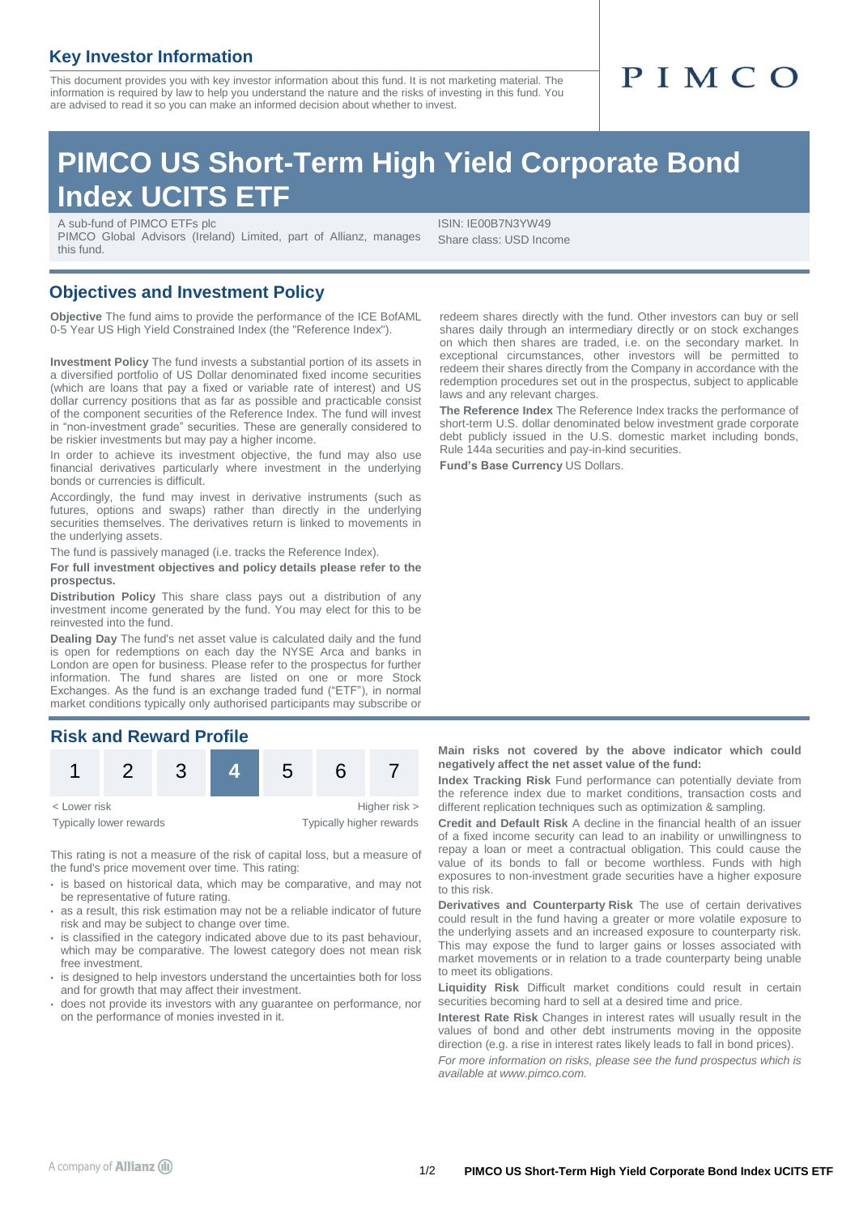### **Key Investor Information**

This document provides you with key investor information about this fund. It is not marketing material. The information is required by law to help you understand the nature and the risks of investing in this fund. You are advised to read it so you can make an informed decision about whether to invest.

## **PIMCO US Short-Term High Yield Corporate Bond Index UCITS ETF**

A sub-fund of PIMCO ETFs plc

PIMCO Global Advisors (Ireland) Limited, part of Allianz, manages this fund.

ISIN: IE00B7N3YW49 Share class: USD Income

#### **Objectives and Investment Policy**

**Objective** The fund aims to provide the performance of the ICE BofAML 0-5 Year US High Yield Constrained Index (the "Reference Index").

**Investment Policy** The fund invests a substantial portion of its assets in a diversified portfolio of US Dollar denominated fixed income securities (which are loans that pay a fixed or variable rate of interest) and US dollar currency positions that as far as possible and practicable consist of the component securities of the Reference Index. The fund will invest in "non-investment grade" securities. These are generally considered to be riskier investments but may pay a higher income.

In order to achieve its investment objective, the fund may also use financial derivatives particularly where investment in the underlying bonds or currencies is difficult.

Accordingly, the fund may invest in derivative instruments (such as futures, options and swaps) rather than directly in the underlying securities themselves. The derivatives return is linked to movements in the underlying assets.

The fund is passively managed (i.e. tracks the Reference Index).

**For full investment objectives and policy details please refer to the prospectus.**

**Distribution Policy** This share class pays out a distribution of any investment income generated by the fund. You may elect for this to be reinvested into the fund.

**Dealing Day** The fund's net asset value is calculated daily and the fund is open for redemptions on each day the NYSE Arca and banks in London are open for business. Please refer to the prospectus for further information. The fund shares are listed on one or more Stock Exchanges. As the fund is an exchange traded fund ("ETF"), in normal market conditions typically only authorised participants may subscribe or

### **Risk and Reward Profile**



Typically lower rewards Typically higher rewards

This rating is not a measure of the risk of capital loss, but a measure of the fund's price movement over time. This rating:

- is based on historical data, which may be comparative, and may not be representative of future rating.
- as a result, this risk estimation may not be a reliable indicator of future risk and may be subject to change over time.
- is classified in the category indicated above due to its past behaviour, which may be comparative. The lowest category does not mean risk free investment.
- is designed to help investors understand the uncertainties both for loss and for growth that may affect their investment.
- does not provide its investors with any guarantee on performance, nor on the performance of monies invested in it.

redeem shares directly with the fund. Other investors can buy or sell shares daily through an intermediary directly or on stock exchanges on which then shares are traded, i.e. on the secondary market. In exceptional circumstances, other investors will be permitted to redeem their shares directly from the Company in accordance with the redemption procedures set out in the prospectus, subject to applicable laws and any relevant charges.

**The Reference Index** The Reference Index tracks the performance of short-term U.S. dollar denominated below investment grade corporate debt publicly issued in the U.S. domestic market including bonds, Rule 144a securities and pay-in-kind securities.

**Fund's Base Currency** US Dollars.

#### **Main risks not covered by the above indicator which could negatively affect the net asset value of the fund:**

**Index Tracking Risk** Fund performance can potentially deviate from the reference index due to market conditions, transaction costs and different replication techniques such as optimization & sampling.

**Credit and Default Risk** A decline in the financial health of an issuer of a fixed income security can lead to an inability or unwillingness to repay a loan or meet a contractual obligation. This could cause the value of its bonds to fall or become worthless. Funds with high exposures to non-investment grade securities have a higher exposure to this risk.

**Derivatives and Counterparty Risk** The use of certain derivatives could result in the fund having a greater or more volatile exposure to the underlying assets and an increased exposure to counterparty risk. This may expose the fund to larger gains or losses associated with market movements or in relation to a trade counterparty being unable to meet its obligations.

**Liquidity Risk** Difficult market conditions could result in certain securities becoming hard to sell at a desired time and price.

**Interest Rate Risk** Changes in interest rates will usually result in the values of bond and other debt instruments moving in the opposite direction (e.g. a rise in interest rates likely leads to fall in bond prices).

*For more information on risks, please see the fund prospectus which is available at www.pimco.com.*

# PIMCO